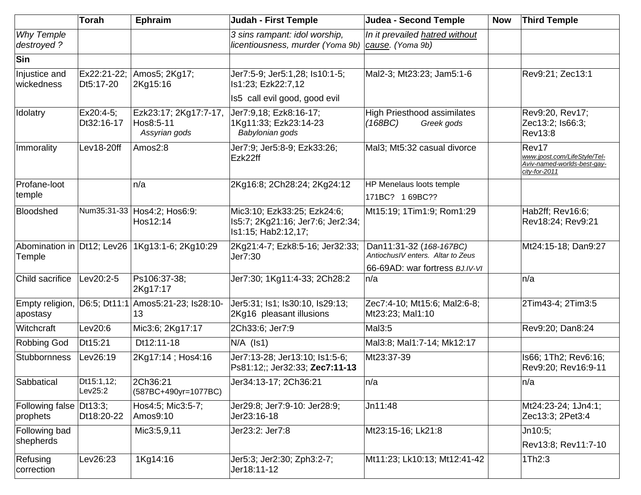|                                      | Torah                    | <b>Ephraim</b>                                           | <b>Judah - First Temple</b>                                                             | Judea - Second Temple                                        | <b>Now</b> | <b>Third Temple</b>                                                                   |
|--------------------------------------|--------------------------|----------------------------------------------------------|-----------------------------------------------------------------------------------------|--------------------------------------------------------------|------------|---------------------------------------------------------------------------------------|
| <b>Why Temple</b><br>destroyed?      |                          |                                                          | 3 sins rampant: idol worship,<br>licentiousness, murder (Yoma 9b) cause. (Yoma 9b)      | In it prevailed hatred without                               |            |                                                                                       |
| Sin                                  |                          |                                                          |                                                                                         |                                                              |            |                                                                                       |
| Injustice and<br>wickedness          | Ex22:21-22;<br>Dt5:17-20 | Amos5; 2Kg17;<br>2Kg15:16                                | Jer7:5-9; Jer5:1,28; Is10:1-5;<br>Is1:23; Ezk22:7,12                                    | Mal2-3; Mt23:23; Jam5:1-6                                    |            | Rev9:21; Zec13:1                                                                      |
|                                      |                          |                                                          | Is5 call evil good, good evil                                                           |                                                              |            |                                                                                       |
| Idolatry                             | Ex20:4-5;<br>Dt32:16-17  | Ezk23:17; 2Kg17:7-17,<br>Hos8:5-11<br>Assyrian gods      | Jer7:9,18; Ezk8:16-17;<br>1Kg11:33; Ezk23:14-23<br>Babylonian gods                      | High Priesthood assimilates<br>(168BC)<br>Greek gods         |            | Rev9:20, Rev17;<br>Zec13:2; Is66:3;<br><b>Rev13:8</b>                                 |
| Immorality                           | Lev18-20ff               | Amos2:8                                                  | Jer7:9; Jer5:8-9; Ezk33:26;<br>Ezk22ff                                                  | Mal3; Mt5:32 casual divorce                                  |            | Rev17<br>www.jpost.com/LifeStyle/Tel-<br>Aviv-named-worlds-best-gay-<br>city-for-2011 |
| Profane-loot<br>temple               |                          | n/a                                                      | 2Kg16:8; 2Ch28:24; 2Kg24:12                                                             | HP Menelaus loots temple                                     |            |                                                                                       |
|                                      |                          |                                                          |                                                                                         | 171BC? 169BC??                                               |            |                                                                                       |
| Bloodshed                            |                          | Num35:31-33 Hos4:2; Hos6:9:<br>Hos12:14                  | Mic3:10; Ezk33:25; Ezk24:6;<br>Is5:7; 2Kg21:16; Jer7:6; Jer2:34;<br>Is1:15; Hab2:12,17; | Mt15:19; 1Tim1:9; Rom1:29                                    |            | Hab2ff; Rev16:6;<br>Rev18:24; Rev9:21                                                 |
| Abomination in Dt12; Lev26<br>Temple |                          | 1Kg13:1-6; 2Kg10:29                                      | 2Kg21:4-7; Ezk8:5-16; Jer32:33;<br>Jer7:30                                              | Dan11:31-32 (168-167BC)<br>AntiochusIV enters. Altar to Zeus |            | Mt24:15-18; Dan9:27                                                                   |
|                                      |                          |                                                          |                                                                                         | 66-69AD: war fortress BJ.IV-VI                               |            |                                                                                       |
| Child sacrifice                      | Lev20:2-5                | Ps106:37-38;<br>2Kg17:17                                 | Jer7:30; 1Kg11:4-33; 2Ch28:2                                                            | n/a                                                          |            | n/a                                                                                   |
| apostasy                             |                          | Empty religion, D6:5; Dt11:1 Amos5:21-23; Is28:10-<br>13 | Jer5:31; Is1; Is30:10, Is29:13;<br>2Kg16 pleasant illusions                             | Zec7:4-10; Mt15:6; Mal2:6-8;<br>Mt23:23; Mal1:10             |            | 2Tim43-4; 2Tim3:5                                                                     |
| Witchcraft                           | Lev20:6                  | Mic3:6; 2Kg17:17                                         | 2Ch33:6; Jer7:9                                                                         | Mal3:5                                                       |            | Rev9:20; Dan8:24                                                                      |
| Robbing God                          | Dt15:21                  | Dt12:11-18                                               | $N/A$ ( $ S1\rangle$                                                                    | Mal3:8; Mal1:7-14; Mk12:17                                   |            |                                                                                       |
| Stubbornness                         | Lev26:19                 | 2Kg17:14; Hos4:16                                        | Jer7:13-28; Jer13:10; Is1:5-6;<br>Ps81:12;; Jer32:33; Zec7:11-13                        | Mt23:37-39                                                   |            | Is66; 1Th2; Rev6:16;<br>Rev9:20; Rev16:9-11                                           |
| Sabbatical                           | Dt15:1,12;<br>Lev25:2    | 2Ch36:21<br>(587BC+490yr=1077BC)                         | Jer34:13-17; 2Ch36:21                                                                   | n/a                                                          |            | n/a                                                                                   |
| Following false Dt13:3;<br>prophets  | Dt18:20-22               | Hos4:5; Mic3:5-7;<br>Amos9:10                            | Jer29:8; Jer7:9-10: Jer28:9;<br>Jer23:16-18                                             | Jn11:48                                                      |            | Mt24:23-24; 1Jn4:1;<br>Zec13:3; 2Pet3:4                                               |
| Following bad                        |                          | Mic3:5,9,11                                              | Jer23:2: Jer7:8                                                                         | Mt23:15-16; Lk21:8                                           |            | Jn10:5;                                                                               |
| shepherds                            |                          |                                                          |                                                                                         |                                                              |            | Rev13:8; Rev11:7-10                                                                   |
| Refusing<br>correction               | Lev26:23                 | 1Kg14:16                                                 | Jer5:3; Jer2:30; Zph3:2-7;<br>Jer18:11-12                                               | Mt11:23; Lk10:13; Mt12:41-42                                 |            | 1Th2:3                                                                                |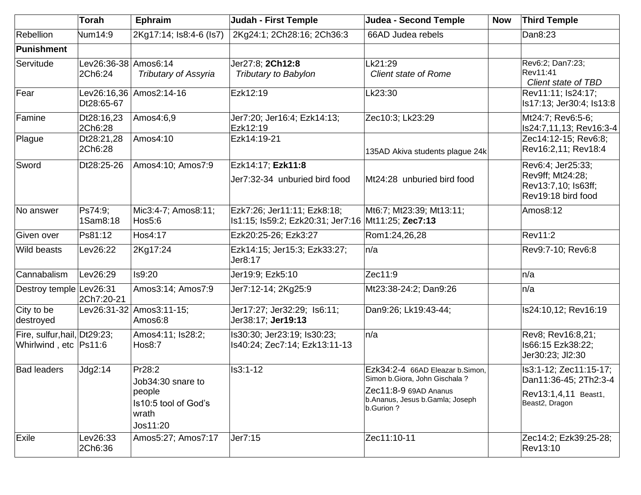|                                                       | <b>Torah</b>                    | Ephraim                                                                            | <b>Judah - First Temple</b>                                                       | <b>Judea - Second Temple</b>                                                                                                               | <b>Now</b> | <b>Third Temple</b>                                                                       |
|-------------------------------------------------------|---------------------------------|------------------------------------------------------------------------------------|-----------------------------------------------------------------------------------|--------------------------------------------------------------------------------------------------------------------------------------------|------------|-------------------------------------------------------------------------------------------|
| Rebellion                                             | Num14:9                         | 2Kg17:14; Is8:4-6 (Is7)                                                            | 2Kg24:1; 2Ch28:16; 2Ch36:3                                                        | 66AD Judea rebels                                                                                                                          |            | Dan8:23                                                                                   |
| Punishment                                            |                                 |                                                                                    |                                                                                   |                                                                                                                                            |            |                                                                                           |
| Servitude                                             | Lev26:36-38 Amos6:14<br>2Ch6:24 | <b>Tributary of Assyria</b>                                                        | Jer27:8; 2Ch12:8<br>Tributary to Babylon                                          | Lk21:29<br><b>Client state of Rome</b>                                                                                                     |            | Rev6:2; Dan7:23;<br>Rev11:41<br>Client state of TBD                                       |
| Fear                                                  | Dt28:65-67                      | Lev26:16,36 Amos2:14-16                                                            | Ezk12:19                                                                          | Lk23:30                                                                                                                                    |            | Rev11:11; Is24:17;<br>Is17:13; Jer30:4; Is13:8                                            |
| Famine                                                | Dt28:16,23<br>2Ch6:28           | Amos4:6,9                                                                          | Jer7:20; Jer16:4; Ezk14:13;<br>Ezk12:19                                           | Zec10:3; Lk23:29                                                                                                                           |            | Mt24:7; Rev6:5-6;<br>Is24:7,11,13; Rev16:3-4                                              |
| Plague                                                | Dt28:21,28<br>2Ch6:28           | Amos4:10                                                                           | Ezk14:19-21                                                                       | 135AD Akiva students plague 24k                                                                                                            |            | Zec14:12-15; Rev6:8;<br>Rev16:2,11; Rev18:4                                               |
| Sword                                                 | Dt28:25-26                      | Amos4:10; Amos7:9                                                                  | Ezk14:17; Ezk11:8<br>Jer7:32-34 unburied bird food                                | Mt24:28 unburied bird food                                                                                                                 |            | Rev6:4; Jer25:33;<br>Rev9ff; Mt24:28;<br>Rev13:7,10; Is63ff;<br>Rev19:18 bird food        |
| No answer                                             | Ps74:9;<br>1Sam8:18             | Mic3:4-7; Amos8:11;<br>Hos5:6                                                      | Ezk7:26; Jer11:11; Ezk8:18;<br>Is1:15; Is59:2; Ezk20:31; Jer7:16 Mt11:25; Zec7:13 | Mt6:7; Mt23:39; Mt13:11;                                                                                                                   |            | Amos8:12                                                                                  |
| Given over                                            | Ps81:12                         | Hos4:17                                                                            | Ezk20:25-26; Ezk3:27                                                              | Rom1:24,26,28                                                                                                                              |            | Rev11:2                                                                                   |
| Wild beasts                                           | Lev26:22                        | 2Kg17:24                                                                           | Ezk14:15; Jer15:3; Ezk33:27;<br>Jer8:17                                           | n/a                                                                                                                                        |            | Rev9:7-10; Rev6:8                                                                         |
| Cannabalism                                           | Lev26:29                        | Is9:20                                                                             | Jer19:9; Ezk5:10                                                                  | Zec11:9                                                                                                                                    |            | n/a                                                                                       |
| Destroy temple Lev26:31                               | 2Ch7:20-21                      | Amos3:14; Amos7:9                                                                  | Jer7:12-14; 2Kg25:9                                                               | Mt23:38-24:2; Dan9:26                                                                                                                      |            | n/a                                                                                       |
| City to be<br>destroyed                               |                                 | Lev26:31-32   Amos3:11-15;<br>Amos6:8                                              | Jer17:27; Jer32:29; Is6:11;<br>Jer38:17; Jer19:13                                 | Dan9:26; Lk19:43-44;                                                                                                                       |            | Is24:10,12; Rev16:19                                                                      |
| Fire, sulfur, hail, Dt29:23;<br>Whirlwind, etc Ps11:6 |                                 | Amos4:11; Is28:2;<br><b>Hos8:7</b>                                                 | Is30:30; Jer23:19; Is30:23;<br>Is40:24; Zec7:14; Ezk13:11-13                      | n/a                                                                                                                                        |            | Rev8; Rev16:8,21;<br>Is66:15 Ezk38:22;<br>Jer30:23; JI2:30                                |
| <b>Bad leaders</b>                                    | Jdg2:14                         | Pr28:2<br>Job34:30 snare to<br>people<br>Is10:5 tool of God's<br>wrath<br>Jos11:20 | Is3:1-12                                                                          | Ezk34:2-4 66AD Eleazar b.Simon,<br>Simon b.Giora, John Gischala?<br>Zec11:8-9 69AD Ananus<br>b.Ananus, Jesus b.Gamla; Joseph<br>b.Gurion ? |            | Is3:1-12; Zec11:15-17;<br>Dan11:36-45; 2Th2:3-4<br>Rev13:1,4,11 Beast1,<br>Beast2, Dragon |
| Exile                                                 | Lev26:33<br>2Ch6:36             | Amos5:27; Amos7:17                                                                 | Jer7:15                                                                           | Zec11:10-11                                                                                                                                |            | Zec14:2; Ezk39:25-28;<br>Rev13:10                                                         |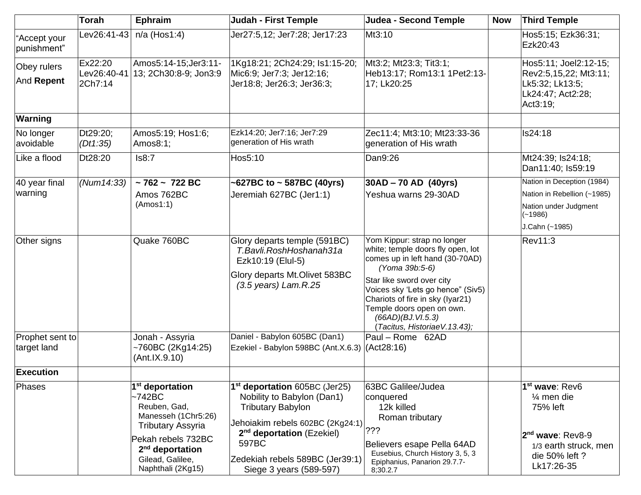|                                | <b>Torah</b>                      | <b>Ephraim</b>                                                                                                                                                                                | <b>Judah - First Temple</b>                                                                                                                                                                                                                             | Judea - Second Temple                                                                                                                                                                                                                                                                                          | <b>Now</b> | Third Temple                                                                                                                                   |
|--------------------------------|-----------------------------------|-----------------------------------------------------------------------------------------------------------------------------------------------------------------------------------------------|---------------------------------------------------------------------------------------------------------------------------------------------------------------------------------------------------------------------------------------------------------|----------------------------------------------------------------------------------------------------------------------------------------------------------------------------------------------------------------------------------------------------------------------------------------------------------------|------------|------------------------------------------------------------------------------------------------------------------------------------------------|
| "Accept your<br>punishment"    | Lev26:41-43                       | $n/a$ (Hos1:4)                                                                                                                                                                                | Jer27:5,12; Jer7:28; Jer17:23                                                                                                                                                                                                                           | Mt3:10                                                                                                                                                                                                                                                                                                         |            | Hos5:15; Ezk36:31;<br>Ezk20:43                                                                                                                 |
| Obey rulers<br>And Repent      | Ex22:20<br>Lev26:40-41<br>2Ch7:14 | Amos5:14-15;Jer3:11-<br>13; 2Ch30:8-9; Jon3:9                                                                                                                                                 | 1Kg18:21; 2Ch24:29; ls1:15-20;<br>Mic6:9; Jer7:3; Jer12:16;<br>Jer18:8; Jer26:3; Jer36:3;                                                                                                                                                               | Mt3:2; Mt23:3; Tit3:1;<br>Heb13:17; Rom13:1 1Pet2:13-<br>17; Lk20:25                                                                                                                                                                                                                                           |            | Hos5:11; Joel2:12-15;<br>Rev2:5,15,22; Mt3:11;<br>Lk5:32; Lk13:5;<br>Lk24:47; Act2:28;<br>Act3:19;                                             |
| Warning                        |                                   |                                                                                                                                                                                               |                                                                                                                                                                                                                                                         |                                                                                                                                                                                                                                                                                                                |            |                                                                                                                                                |
| No longer<br>avoidable         | Dt29:20;<br>(Dt1:35)              | Amos5:19; Hos1:6;<br>Amos8:1;                                                                                                                                                                 | Ezk14:20; Jer7:16; Jer7:29<br>generation of His wrath                                                                                                                                                                                                   | Zec11:4; Mt3:10; Mt23:33-36<br>generation of His wrath                                                                                                                                                                                                                                                         |            | <b>Is24:18</b>                                                                                                                                 |
| Like a flood                   | Dt28:20                           | Is8:7                                                                                                                                                                                         | Hos5:10                                                                                                                                                                                                                                                 | Dan9:26                                                                                                                                                                                                                                                                                                        |            | Mt24:39; Is24:18;<br>Dan11:40; Is59:19                                                                                                         |
| 40 year final                  | (Num14:33)                        | $~1762 - 722$ BC                                                                                                                                                                              | $\sim$ 627BC to $\sim$ 587BC (40yrs)                                                                                                                                                                                                                    | $ 30AD - 70 AD (40yrs) $                                                                                                                                                                                                                                                                                       |            | Nation in Deception (1984)                                                                                                                     |
| warning                        |                                   | Amos 762BC                                                                                                                                                                                    | Jeremiah 627BC (Jer1:1)                                                                                                                                                                                                                                 | Yeshua warns 29-30AD                                                                                                                                                                                                                                                                                           |            | Nation in Rebellion (~1985)                                                                                                                    |
|                                |                                   | (Amos1:1)                                                                                                                                                                                     |                                                                                                                                                                                                                                                         |                                                                                                                                                                                                                                                                                                                |            | Nation under Judgment<br>$(-1986)$                                                                                                             |
|                                |                                   |                                                                                                                                                                                               |                                                                                                                                                                                                                                                         |                                                                                                                                                                                                                                                                                                                |            | J.Cahn (~1985)                                                                                                                                 |
| Other signs                    |                                   | Quake 760BC                                                                                                                                                                                   | Glory departs temple (591BC)<br>T.Bavli.RoshHoshanah31a<br>Ezk10:19 (Elul-5)<br>Glory departs Mt.Olivet 583BC<br>$(3.5 \text{ years})$ Lam.R.25                                                                                                         | Yom Kippur: strap no longer<br>white; temple doors fly open, lot<br>comes up in left hand (30-70AD)<br>(Yoma 39b:5-6)<br>Star like sword over city<br>Voices sky 'Lets go hence" (Siv5)<br>Chariots of fire in sky (Iyar21)<br>Temple doors open on own.<br>(66AD)(BJ. VI.5.3)<br>(Tacitus, HistoriaeV.13.43); |            | Rev11:3                                                                                                                                        |
| Prophet sent to<br>target land |                                   | Jonah - Assyria<br>~760BC (2Kg14:25)<br>(Ant.IX.9.10)                                                                                                                                         | Daniel - Babylon 605BC (Dan1)<br>Ezekiel - Babylon 598BC (Ant.X.6.3) (Act28:16)                                                                                                                                                                         | Paul - Rome 62AD                                                                                                                                                                                                                                                                                               |            |                                                                                                                                                |
| <b>Execution</b>               |                                   |                                                                                                                                                                                               |                                                                                                                                                                                                                                                         |                                                                                                                                                                                                                                                                                                                |            |                                                                                                                                                |
| Phases                         |                                   | 1 <sup>st</sup> deportation<br>~1742BC<br>Reuben, Gad,<br>Manesseh (1Chr5:26)<br><b>Tributary Assyria</b><br>Pekah rebels 732BC<br>$2nd$ deportation<br>Gilead, Galilee,<br>Naphthali (2Kg15) | 1 <sup>st</sup> deportation 605BC (Jer25)<br>Nobility to Babylon (Dan1)<br><b>Tributary Babylon</b><br>Jehoiakim rebels 602BC (2Kg24:1)<br>2 <sup>nd</sup> deportation (Ezekiel)<br>597BC<br>Zedekiah rebels 589BC (Jer39:1)<br>Siege 3 years (589-597) | 63BC Galilee/Judea<br>conquered<br>12k killed<br>Roman tributary<br>222<br>Believers esape Pella 64AD<br>Eusebius, Church History 3, 5, 3<br>Epiphanius, Panarion 29.7.7-<br>8;30.2.7                                                                                                                          |            | 1 <sup>st</sup> wave: Rev6<br>$\frac{1}{4}$ men die<br>75% left<br>$2nd$ wave: Rev8-9<br>1/3 earth struck, men<br>die 50% left ?<br>Lk17:26-35 |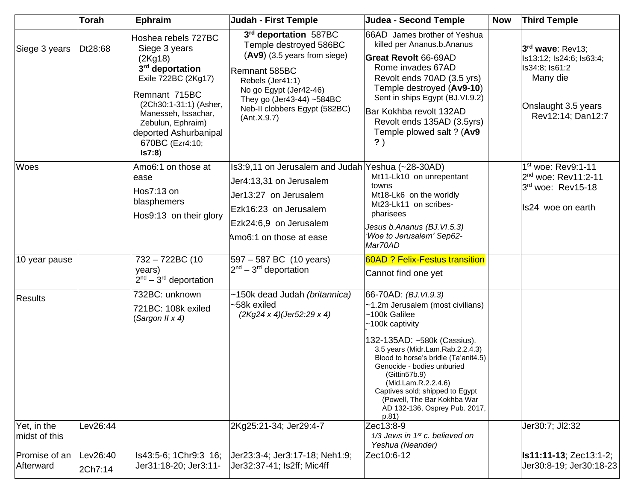|                              | <b>Torah</b>        | <b>Ephraim</b>                                                                                                                                                                                                                         | <b>Judah - First Temple</b>                                                                                                                                                                                                     | <b>Judea - Second Temple</b>                                                                                                                                                                                                                                                                                                                                                                | <b>Now</b> | <b>Third Temple</b>                                                                                                    |
|------------------------------|---------------------|----------------------------------------------------------------------------------------------------------------------------------------------------------------------------------------------------------------------------------------|---------------------------------------------------------------------------------------------------------------------------------------------------------------------------------------------------------------------------------|---------------------------------------------------------------------------------------------------------------------------------------------------------------------------------------------------------------------------------------------------------------------------------------------------------------------------------------------------------------------------------------------|------------|------------------------------------------------------------------------------------------------------------------------|
| Siege 3 years                | Dt28:68             | Hoshea rebels 727BC<br>Siege 3 years<br>(2Kg18)<br>3rd deportation<br>Exile 722BC (2Kg17)<br>Remnant 715BC<br>(2Ch30:1-31:1) (Asher,<br>Manesseh, Issachar,<br>Zebulun, Ephraim)<br>deported Ashurbanipal<br>670BC (Ezr4:10;<br>Is7:8) | 3rd deportation 587BC<br>Temple destroyed 586BC<br>$(Av9)$ (3.5 years from siege)<br>Remnant 585BC<br>Rebels (Jer41:1)<br>No go Egypt (Jer42-46)<br>They go (Jer43-44) ~584BC<br>Neb-II clobbers Egypt (582BC)<br>(Ant. X. 9.7) | 66AD James brother of Yeshua<br>killed per Ananus.b.Ananus<br>Great Revolt 66-69AD<br>Rome invades 67AD<br>Revolt ends 70AD (3.5 yrs)<br>Temple destroyed (Av9-10)<br>Sent in ships Egypt (BJ.VI.9.2)<br>Bar Kokhba revolt 132AD<br>Revolt ends 135AD (3.5yrs)<br>Temple plowed salt ? (Av9<br>$\mathbf{?}$ )                                                                               |            | 3rd wave: Rev13;<br>Is13:12; Is24:6; Is63:4;<br>Is34:8; Is61:2<br>Many die<br>Onslaught 3.5 years<br>Rev12:14; Dan12:7 |
| Woes                         |                     | Amo6:1 on those at<br>ease<br>Hos7:13 on<br>blasphemers<br>Hos9:13 on their glory                                                                                                                                                      | Is3:9,11 on Jerusalem and Judah Yeshua (~28-30AD)<br>Jer4:13,31 on Jerusalem<br>Jer13:27 on Jerusalem<br>Ezk16:23 on Jerusalem<br>Ezk24:6,9 on Jerusalem<br>Amo6:1 on those at ease                                             | Mt11-Lk10 on unrepentant<br>towns<br>Mt18-Lk6 on the worldly<br>Mt23-Lk11 on scribes-<br>pharisees<br>Jesus b.Ananus (BJ.VI.5.3)<br>'Woe to Jerusalem' Sep62-<br>Mar70AD                                                                                                                                                                                                                    |            | 1 <sup>st</sup> woe: Rev9:1-11<br>2 <sup>nd</sup> woe: Rev11:2-11<br>3rd woe: Rev15-18<br>Is24 woe on earth            |
| 10 year pause                |                     | 732 - 722BC (10<br>years)<br>$2nd - 3rd$ deportation                                                                                                                                                                                   | 597 - 587 BC (10 years)<br>$2nd - 3rd$ deportation                                                                                                                                                                              | <b>60AD ? Felix-Festus transition</b><br>Cannot find one yet                                                                                                                                                                                                                                                                                                                                |            |                                                                                                                        |
| <b>Results</b>               |                     | 732BC: unknown<br>721BC: 108k exiled<br>(Sargon II x 4)                                                                                                                                                                                | ~150k dead Judah (britannica)<br>~58k exiled<br>$(2Kg24 \times 4)(\text{Jer}52.29 \times 4)$                                                                                                                                    | 66-70AD: (BJ.VI.9.3)<br>~1.2m Jerusalem (most civilians)<br>~100k Galilee<br>$~100k$ captivity<br>132-135AD: ~580k (Cassius).<br>3.5 years (Midr.Lam.Rab.2.2.4.3)<br>Blood to horse's bridle (Ta'anit4.5)<br>Genocide - bodies unburied<br>(Gittin57b.9)<br>(Mid.Lam.R.2.2.4.6)<br>Captives sold; shipped to Egypt<br>(Powell, The Bar Kokhba War<br>AD 132-136, Osprey Pub. 2017,<br>p.81) |            |                                                                                                                        |
| Yet, in the<br>midst of this | Lev26:44            |                                                                                                                                                                                                                                        | 2Kg25:21-34; Jer29:4-7                                                                                                                                                                                                          | Zec13:8-9<br>$1/3$ Jews in 1st c. believed on<br>Yeshua (Neander)                                                                                                                                                                                                                                                                                                                           |            | Jer30:7; Jl2:32                                                                                                        |
| Promise of an<br>Afterward   | Lev26:40<br>2Ch7:14 | Is43:5-6; 1Chr9:3 16;<br>Jer31:18-20; Jer3:11-                                                                                                                                                                                         | Jer23:3-4; Jer3:17-18; Neh1:9;<br>Jer32:37-41; Is2ff; Mic4ff                                                                                                                                                                    | Zec10:6-12                                                                                                                                                                                                                                                                                                                                                                                  |            | Is11:11-13; Zec13:1-2;<br>Jer30:8-19; Jer30:18-23                                                                      |